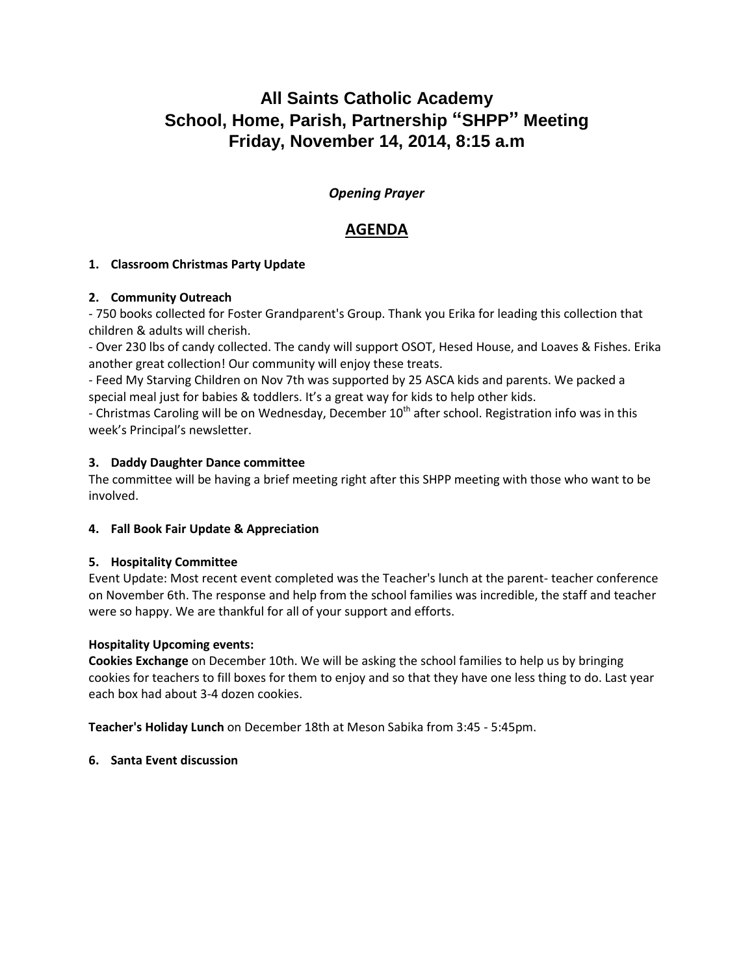# **All Saints Catholic Academy School, Home, Parish, Partnership "SHPP" Meeting Friday, November 14, 2014, 8:15 a.m**

# *Opening Prayer*

# **AGENDA**

# **1. Classroom Christmas Party Update**

# **2. Community Outreach**

- 750 books collected for Foster Grandparent's Group. Thank you Erika for leading this collection that children & adults will cherish.

- Over 230 lbs of candy collected. The candy will support OSOT, Hesed House, and Loaves & Fishes. Erika another great collection! Our community will enjoy these treats.

- Feed My Starving Children on Nov 7th was supported by 25 ASCA kids and parents. We packed a special meal just for babies & toddlers. It's a great way for kids to help other kids.

- Christmas Caroling will be on Wednesday, December  $10<sup>th</sup>$  after school. Registration info was in this week's Principal's newsletter.

# **3. Daddy Daughter Dance committee**

The committee will be having a brief meeting right after this SHPP meeting with those who want to be involved.

# **4. Fall Book Fair Update & Appreciation**

# **5. Hospitality Committee**

Event Update: Most recent event completed was the Teacher's lunch at the parent- teacher conference on November 6th. The response and help from the school families was incredible, the staff and teacher were so happy. We are thankful for all of your support and efforts.

# **Hospitality Upcoming events:**

**Cookies Exchange** on December 10th. We will be asking the school families to help us by bringing cookies for teachers to fill boxes for them to enjoy and so that they have one less thing to do. Last year each box had about 3-4 dozen cookies.

**Teacher's Holiday Lunch** on December 18th at Meson Sabika from 3:45 - 5:45pm.

# **6. Santa Event discussion**